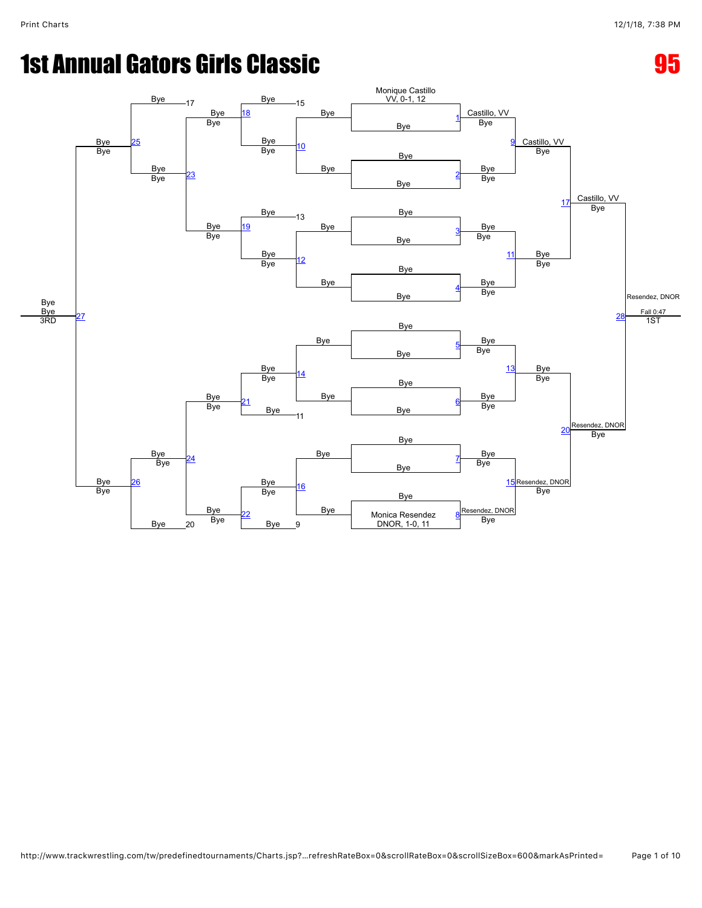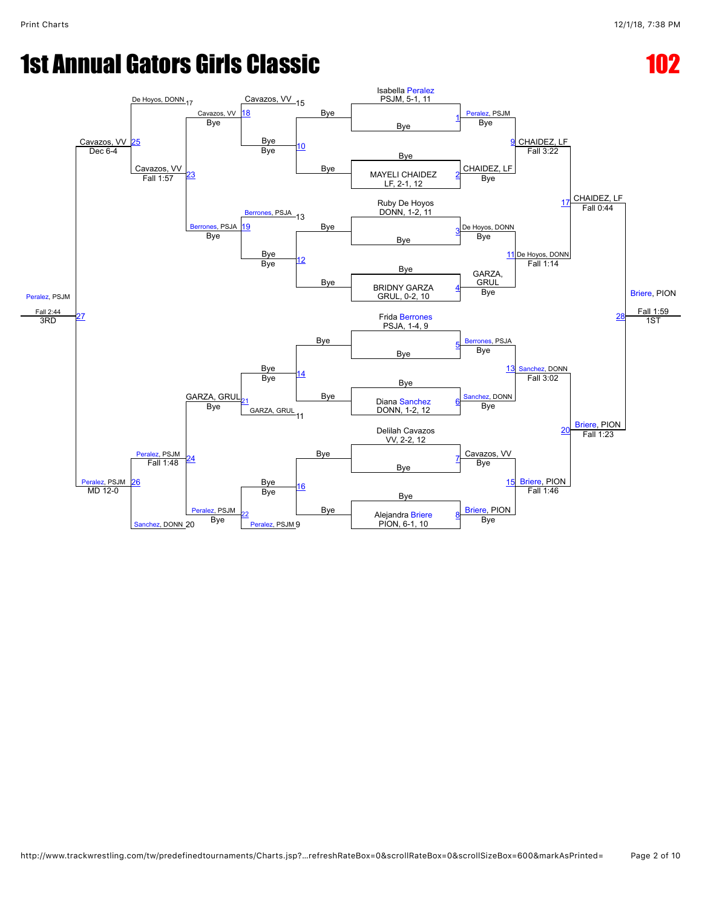# **1st Annual Gators Girls Classic 102 and 102 annual Gators Girls Classic 102**

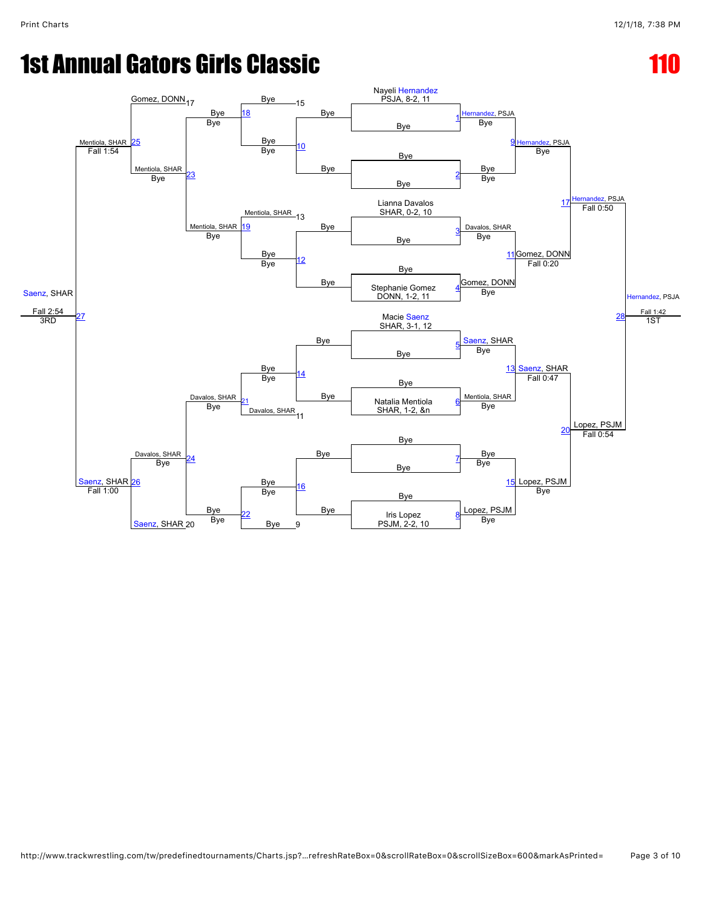# **1st Annual Gators Girls Classic 110 and 110 and 110 and 110 and 110 and 110 and 110 and 110 and 110 and 110 and 110 and 110 and 110 and 110 and 110 and 110 and 110 and 110 and 110 and 110 and 110 and 110 and 110 and 110 a**

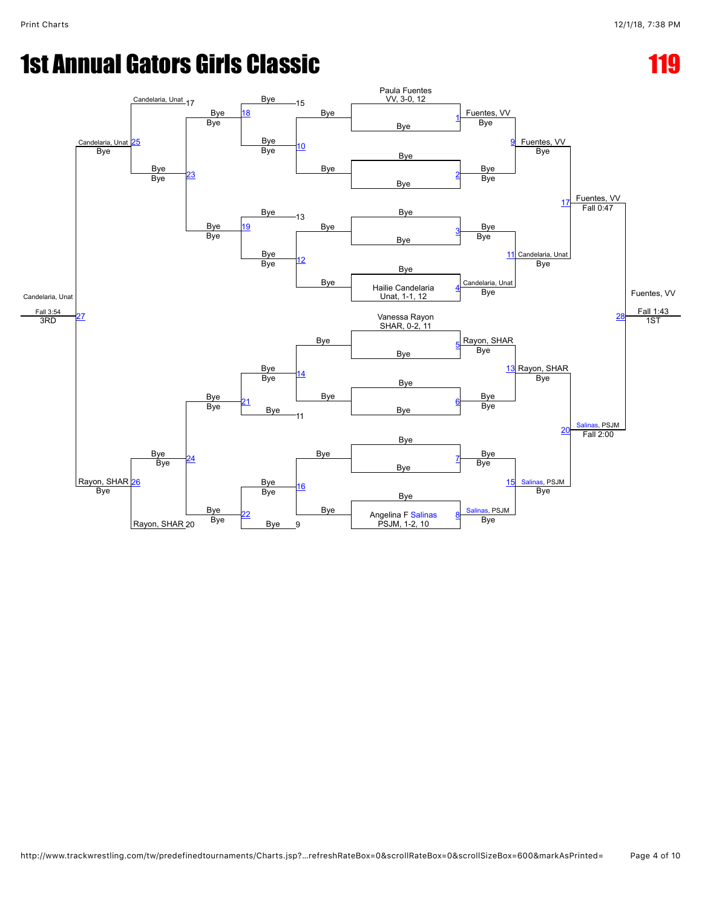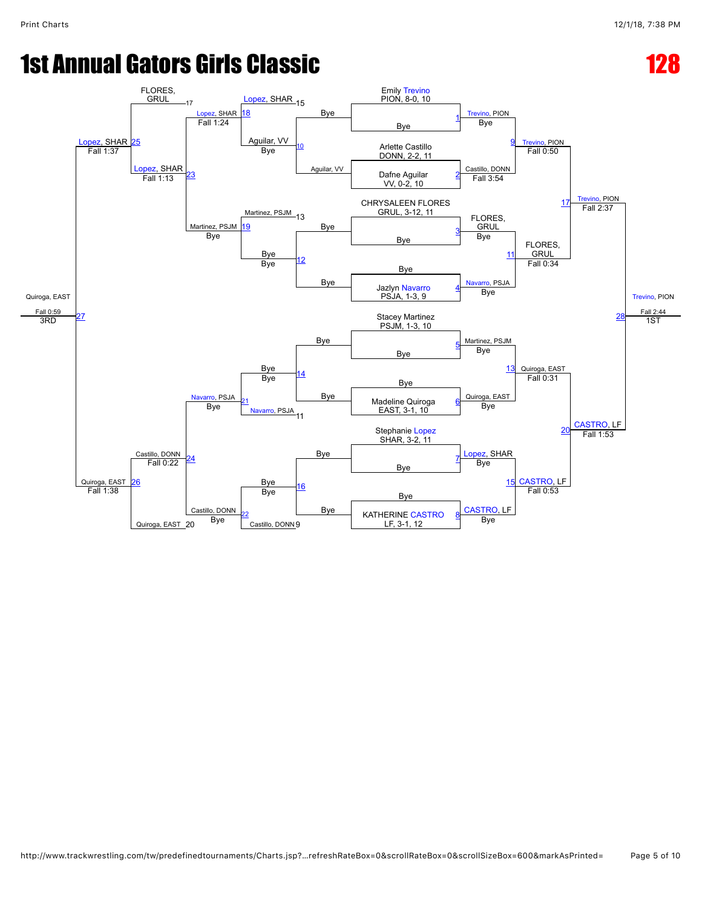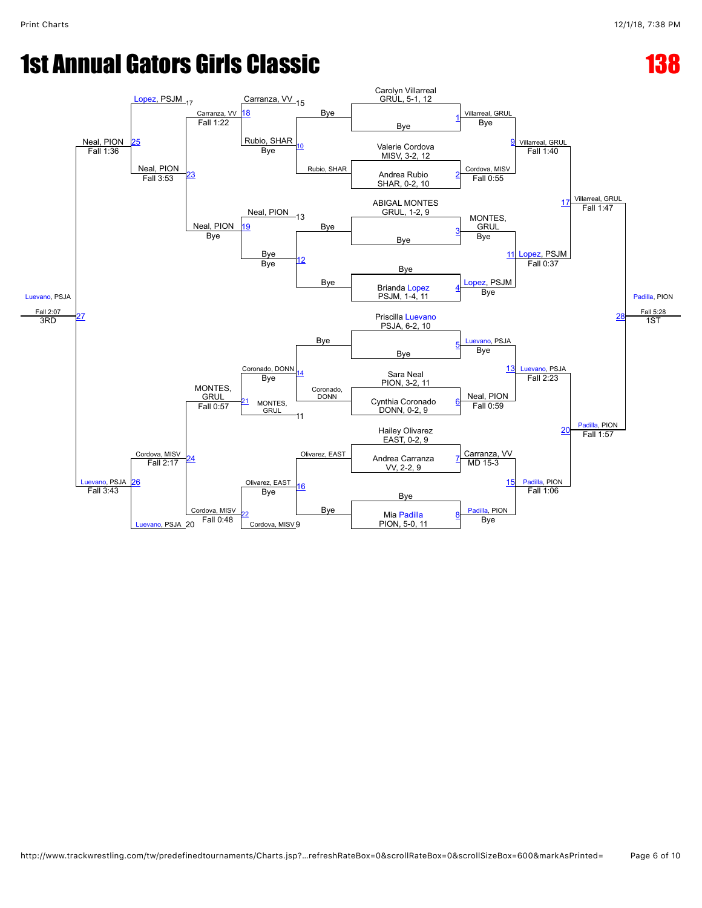### **1st Annual Gators Girls Classic 138 (138)**

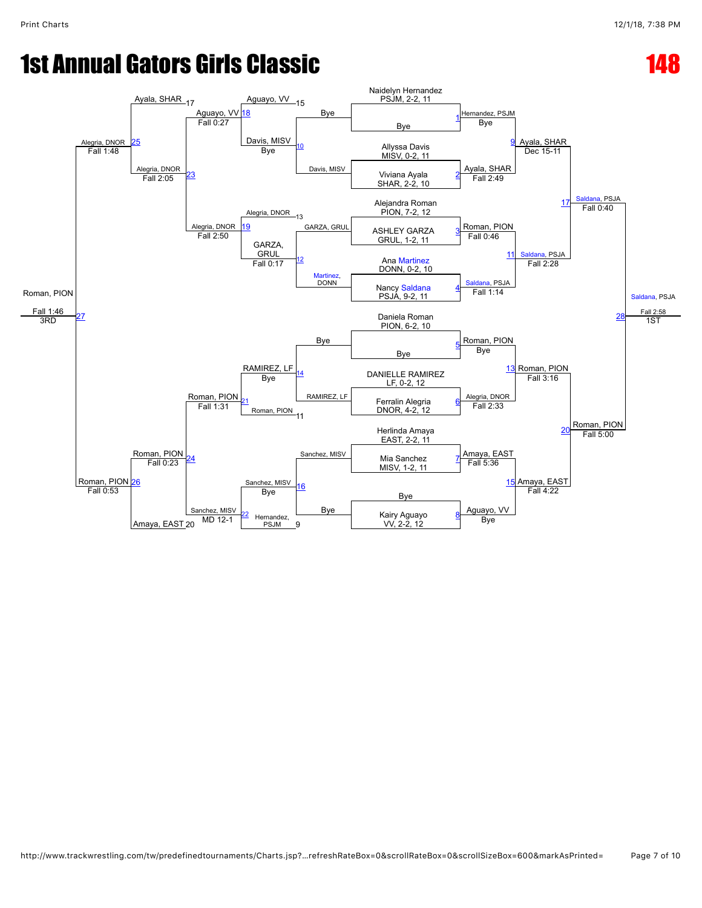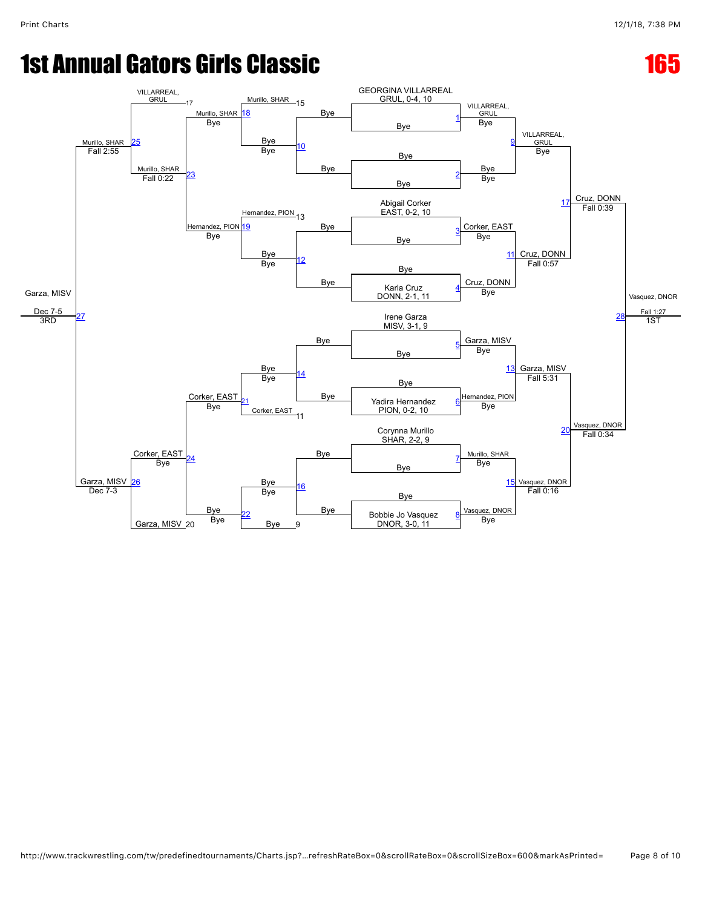## **1st Annual Gators Girls Classic 165 and 165 and 165 and 165 and 165 and 165 and 165 and 165 and 165 and 165 and 165 and 165 and 167 and 167 and 168 and 169 and 169 and 169 and 169 and 169 and 169 and 169 and 169 and 169 a**

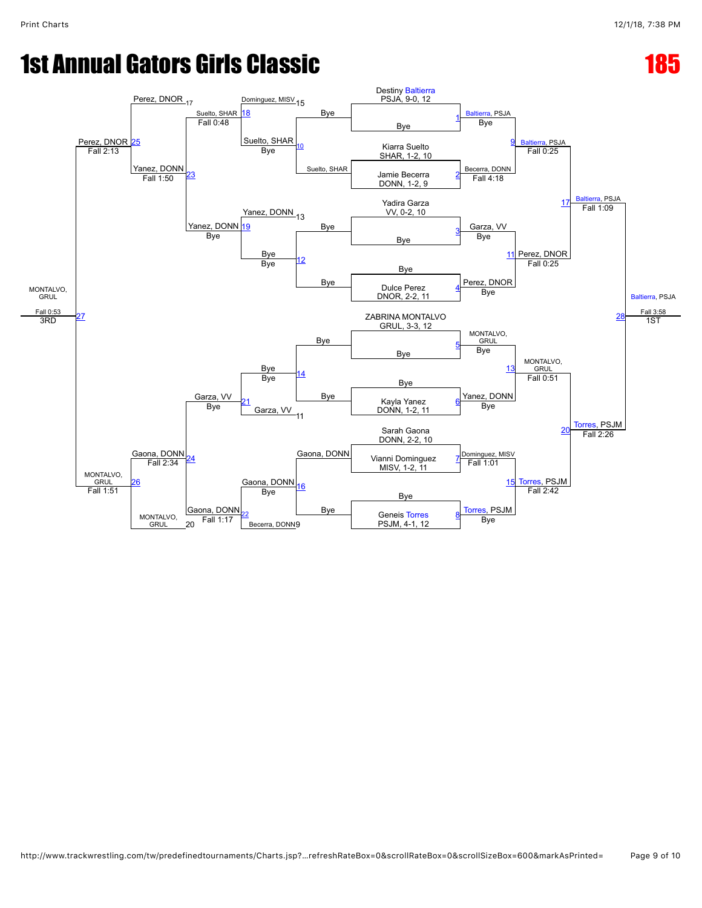## **1st Annual Gators Girls Classic 185 (185 annual 185 annual 185 annual 185 annual 185 annual 185 annual 185 ann**